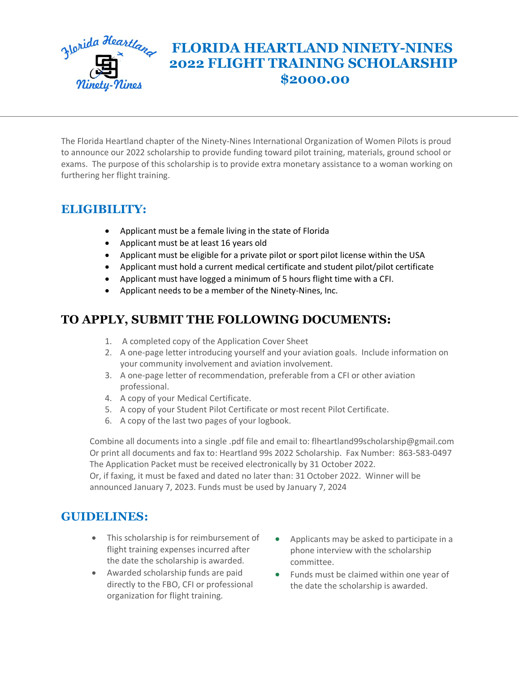

# *<u>Slorida Heartland</u>* FLORIDA HEARTLAND NINETY-NINES  **2022 FLIGHT TRAINING SCHOLARSHIP \$2000.00**

The Florida Heartland chapter of the Ninety-Nines International Organization of Women Pilots is proud to announce our 2022 scholarship to provide funding toward pilot training, materials, ground school or exams. The purpose of this scholarship is to provide extra monetary assistance to a woman working on furthering her flight training.

## **ELIGIBILITY:**

- Applicant must be a female living in the state of Florida
- Applicant must be at least 16 years old
- Applicant must be eligible for a private pilot or sport pilot license within the USA
- Applicant must hold a current medical certificate and student pilot/pilot certificate
- Applicant must have logged a minimum of 5 hours flight time with a CFI.
- Applicant needs to be a member of the Ninety-Nines, Inc.

## **TO APPLY, SUBMIT THE FOLLOWING DOCUMENTS:**

- 1. A completed copy of the Application Cover Sheet
- 2. A one-page letter introducing yourself and your aviation goals. Include information on your community involvement and aviation involvement.
- 3. A one-page letter of recommendation, preferable from a CFI or other aviation professional.
- 4. A copy of your Medical Certificate.
- 5. A copy of your Student Pilot Certificate or most recent Pilot Certificate.
- 6. A copy of the last two pages of your logbook.

Combine all documents into a single .pdf file and email to: flheartland99scholarship@gmail.com Or print all documents and fax to: Heartland 99s 2022 Scholarship. Fax Number: 863-583-0497 The Application Packet must be received electronically by 31 October 2022.

Or, if faxing, it must be faxed and dated no later than: 31 October 2022. Winner will be announced January 7, 2023. Funds must be used by January 7, 2024

#### **GUIDELINES:**

- This scholarship is for reimbursement of flight training expenses incurred after the date the scholarship is awarded.
- Awarded scholarship funds are paid directly to the FBO, CFI or professional organization for flight training.
- Applicants may be asked to participate in a phone interview with the scholarship committee.
- Funds must be claimed within one year of the date the scholarship is awarded.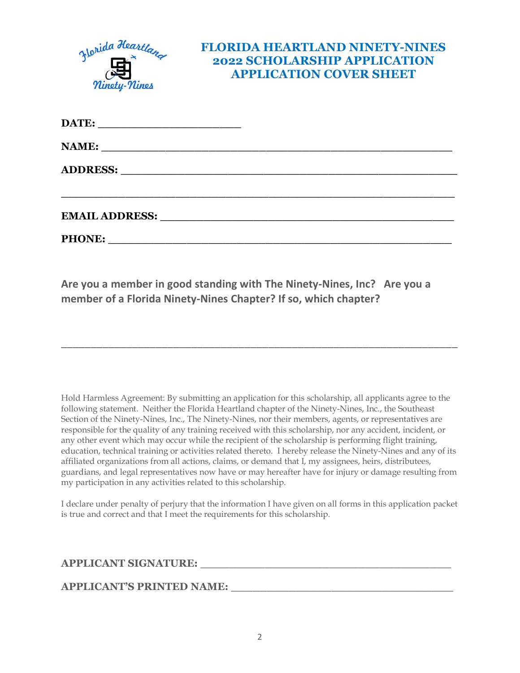

**PHONE:**  $\blacksquare$ 

**Are you a member in good standing with The Ninety-Nines, Inc? Are you a member of a Florida Ninety-Nines Chapter? If so, which chapter?** 

Hold Harmless Agreement: By submitting an application for this scholarship, all applicants agree to the following statement. Neither the Florida Heartland chapter of the Ninety-Nines, Inc., the Southeast Section of the Ninety-Nines, Inc., The Ninety-Nines, nor their members, agents, or representatives are responsible for the quality of any training received with this scholarship, nor any accident, incident, or any other event which may occur while the recipient of the scholarship is performing flight training, education, technical training or activities related thereto. I hereby release the Ninety-Nines and any of its affiliated organizations from all actions, claims, or demand that I, my assignees, heirs, distributees, guardians, and legal representatives now have or may hereafter have for injury or damage resulting from my participation in any activities related to this scholarship.

\_\_\_\_\_\_\_\_\_\_\_\_\_\_\_\_\_\_\_\_\_\_\_\_\_\_\_\_\_\_\_\_\_\_\_\_\_\_\_\_\_\_\_\_\_\_\_\_\_\_\_\_\_\_\_\_\_\_\_\_\_\_\_\_\_\_\_

I declare under penalty of perjury that the information I have given on all forms in this application packet is true and correct and that I meet the requirements for this scholarship.

**APPLICANT SIGNATURE: \_\_\_\_\_\_\_\_\_\_\_\_\_\_\_\_\_\_\_\_\_\_\_\_\_\_\_\_\_\_\_\_\_\_\_**

**APPLICANT'S PRINTED NAME: \_\_\_\_\_\_\_\_\_\_\_\_\_\_\_\_\_\_\_\_\_\_\_\_\_\_\_\_\_\_\_**